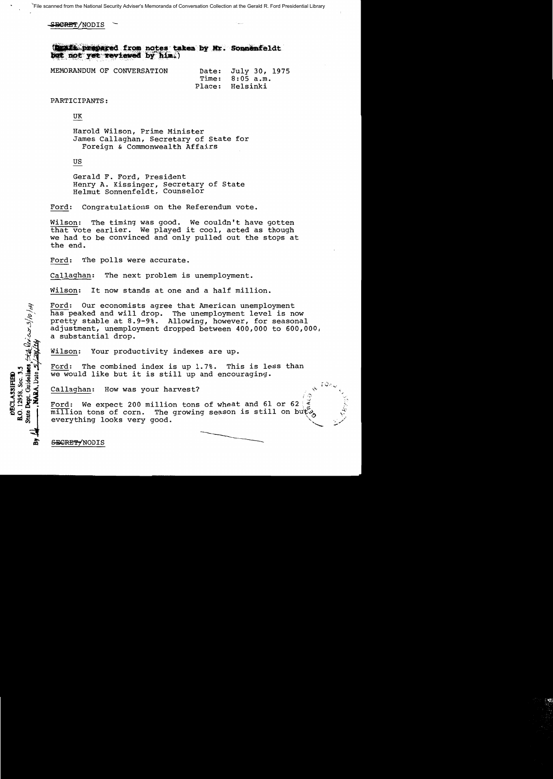SECRET/NODIS

(Draft prepared from notes taken by Mr. Sonnenfeldt but not yet reviewed by him.)

|  | MEMORANDUM OF CONVERSATION | Date: July 30, 1975 |                 |  |  |
|--|----------------------------|---------------------|-----------------|--|--|
|  |                            | Time: 8:05 a.m.     |                 |  |  |
|  |                            |                     | Place: Helsinki |  |  |

PARTICIPANTS:

UK

Harold Wilson, Prime Minister James Callaghan, Secretary of State for Foreign & Commonwealth Affairs

# US

Gerald F. Ford, President Henry A. Kissinger, Secretary of State Helmut Sonnenfeldt, Counselor

Ford: Congratulations on the Referendum vote.

Wilson: The timing was good. We couldn't have gotten that vote earlier. We played it cool, acted as though we had to be convinced and only pulled out the stops at the end.

The polls were accurate. Ford:

Callaghan: The next problem is unemployment.

It now stands at one and a half million. Wilson:

Ford: Our economists agree that American unemployment has peaked and will drop. The unemployment level is now pretty stable at 8.9-9%. Allowing, however, for seasonal adjustment, unemployment dropped between 400,000 to 600,000, a substantial drop.

Wilson: Your productivity indexes are up.

Ford: The combined index is up 1.7%. This is less than we would like but it is still up and encouraging.

Callaghan: How was your harvest?

Ford: We expect 200 million tons of wheat and 61 or 62 million tons of corn. The growing season is still on buty everything looks very good.

SECRETYNODIS

Dept. Guidelines,  $\frac{\partial \mathcal{L}_{kk}}{\partial \mathcal{L}_{k} \times \mathcal{L}_{k}}$ 

**NARA, Date 5** 

B.O. 12958, Sec. 3.5

State

**DECLASSIFIEE**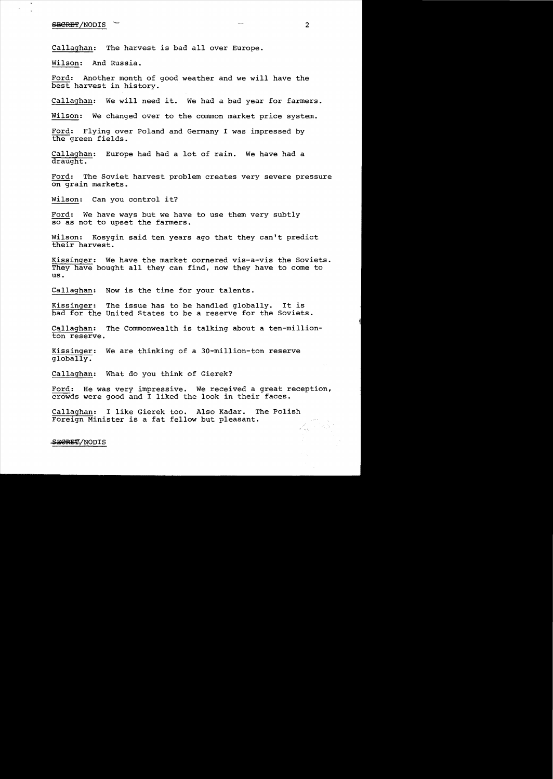#### $SER$ BT/NODIS  $\sim$  2

Callaghan: The harvest is bad all over Europe.

Wilson: And Russia.

Ford: Another month of good weather and we will have the best harvest in history.

Callaghan: We will need it. We had a bad year for farmers.

Wilson: We changed over to the common market price system.

Ford: Flying over Poland and Germany I was impressed by the green fields.

Callaghan: Europe had had a lot of rain. We have had a draught.

Ford: The Soviet harvest problem creates very severe pressure on grain markets.

Wilson: Can you control it?

Ford: We have ways but we have to use them very subtly so as not to upset the farmers.

Wilson: Kosygin said ten years ago that they can't predict their harvest.

Kissinger: We have the market cornered vis-a-vis the Soviets. They have bought all they can find, now they have to come to us.

Callaghan: Now is the time for your talents.

Kissinger: The issue has to be handled globally. It is bad for the United States to be a reserve for the Soviets.

Callaghan: The Commonwealth is talking about a ten-million Callaghan:<br>ton reserve.

Kissinger: We are thinking of a 30-million-ton reserve globally.

Callaghan: What do you think of Gierek?

Ford: He was very impressive. We received a great reception, crowds were good and I liked the look in their faces.

Callaghan: I like Gierek too. Also Kadar. The Polish Foreign Minister is a fat fellow but pleasant. 4

SECRET/NODIS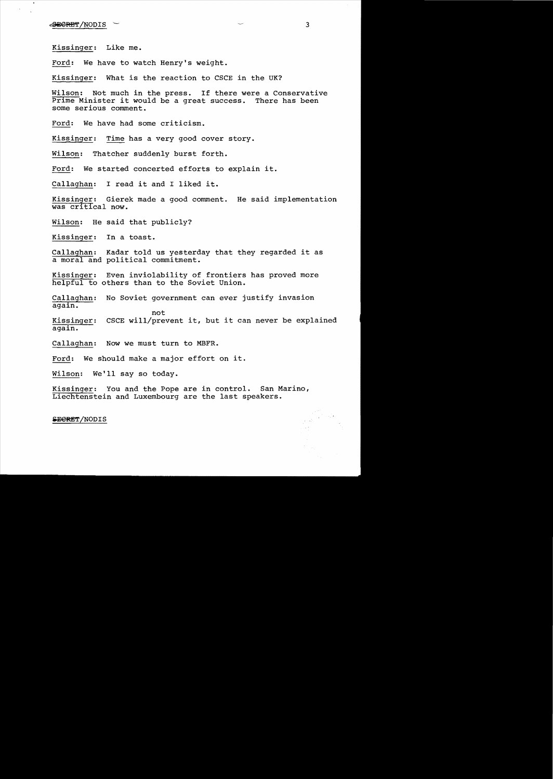$\epsilon$ <del>Sie $R$ :R:et</del> $\gamma$ NODIS , $\sim$ . 3

Kissinger: Like me.

Ford: We have to watch Henry's weight.

Kissinger: What is the reaction to CSCE in the UK?

Wilson: Not much in the press. If there were a Conservative Prime Minister it would be a great success. There has been some serious comment.

Ford: We have had some criticism.

Kissinger: Time has a very good cover story.

Wilson: Thatcher suddenly burst forth.

Ford: We started concerted efforts to explain it.

Callaghan: I read it and I liked it.

Kissinger: Gierek made a good comment. He said implementation was cr1tical now.

Wilson: He said that publicly?

Kissinger: In a toast.

Callaghan: Kadar told us yesterday that they regarded it as a moral and political commitment.

Kissinger: Even inviolability of frontiers has proved more helpful to others than to the Soviet Union.

Callaghan: No Soviet government can ever justify invasion again.

Kissinger: CSCE will/prevent it, but it can never be explained again.

Callaghan: Now we must turn to MBFR.

Ford: We should make a major effort on it.

not

Wilson: We'll say so today.

Kissinger: You and the Pope are in control. San Marino, Liechtenstein and Luxembourg are the last speakers.

SECRET/NODIS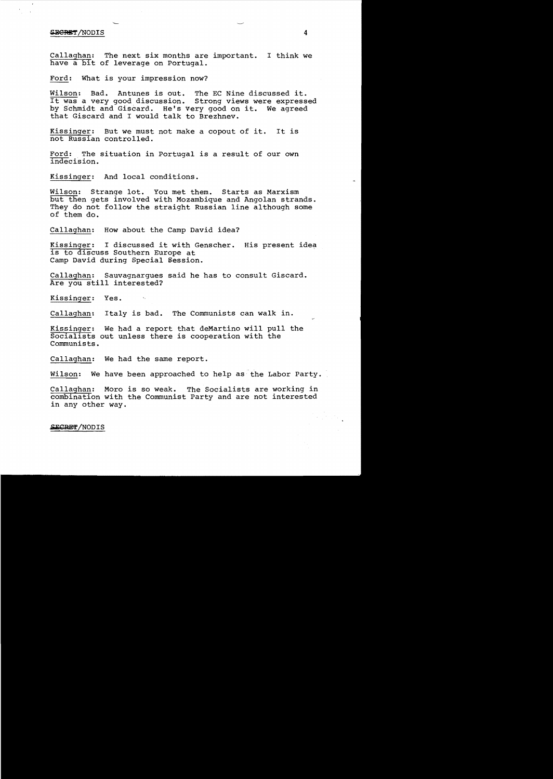#### $S$ *ECRET* /NODIS  $4$

Callaghan: The next six months are important. I think we have a bit of leverage on Portugal.

Ford: What is your impression now?

Wilson: Bad. Antunes is out. The EC Nine discussed it. It was a very good discussion. Strong views were expressed by Schmidt and Giscard. He's very good on it. We agreed that Giscard and I would talk to Brezhnev.

Kissinger: But we must not make a copout of it. It is not Russian controlled.

Ford: The situation in Portugal is a result of our own indecision.

Kissinger: And local conditions.

Wilson: Strange lot. You met them. Starts as Marxism but then gets involved with Mozambique and Angolan strands. They do not follow the straight Russian line although some of them do.

Callaghan: How about the Camp David idea?

Kissinger: I discussed it with Genscher. His present idea is to discuss Southern Europe at Camp David during Special Session.

Callaghan: Sauvagnargues said he has to consult Giscard. Are you still interested?

Kissinger: Yes.

Callaghan: Italy is bad. The Communists can walk in.

Kissinger: We had a report that deMartino will pull the Socialists out unless there is cooperation with the Communists.

Callaghan: We had the same report.

Wilson: We have been approached to help as the Labor Party.

Callaghan: Moro is so weak. The Socialists are working in combination with the Communist Party and are not interested in any other way.

SECRET/NODIS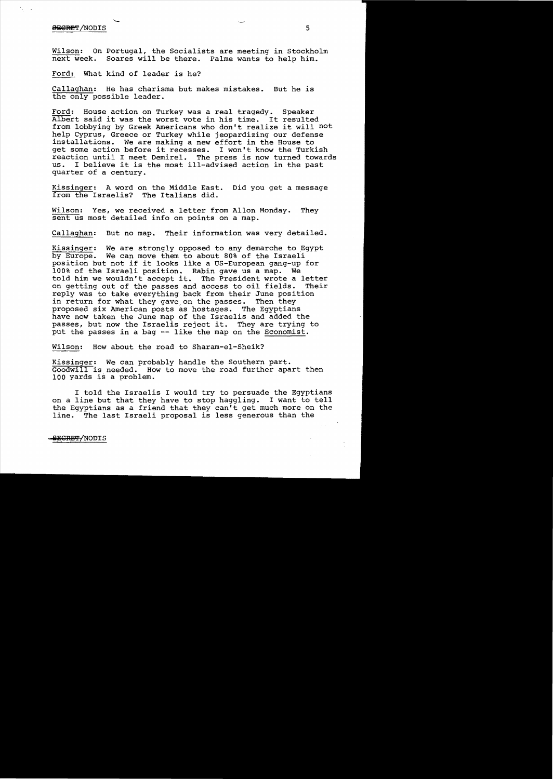## <del>BECRE</del>T/NODIS 5

Wilson: On Portugal, the Socialists are meeting in Stockholm<br>next week. Soares will be there. Palme wants to help him. Soares will be there. Palme wants to help him.

Ford: What kind of leader is he?

Callaghan: He has charisma but makes mistakes. But he is the only possible leader.

Ford: House action on Turkey was a real tragedy. Speaker Albert said it was the worst vote in his time. It resulted from lobbying by Greek Americans who don't realize it will not help Cyprus, Greece or Turkey while jeopardizing our defense installations. We are making a new effort in the House to get some action before it recesses. I won't know the Turkish reaction until I meet Demirel. The press is now turned towards<br>us. I believe it is the most ill-advised action in the past I believe it is the most ill-advised action in the past quarter of a century.

Kissinger: A word on the Middle East. Did you get a message from the Israelis? The Italians did.

Wilson: Yes, we received a letter from Allon Monday. They sent us most detailed info on points on a map.

Callaghan: But no map. Their information was very detailed.

Kissinger: We are strongly opposed to any demarche to Egypt by Europe. We can move them to about 80% of the Israeli position but not if it looks like a US-European gang-up for 100% of the Israeli position. Rabin gave us a map. We told him we wouldn't accept it. The President wrote a letter<br>on getting out of the passes and access to oil fields. Their on getting out of the passes and access to oil fields. reply was to take everything back from their June position in return for what they gave on the passes. Then they proposed six American posts as hostages. The Egyptians have now taken the June map of the Israelis and added the passes, but now the Israelis reject it. They are trying to put the passes in a bag -- like the map on the Economist.

Wilson: How about the road to Sharam-el-Sheik?

Kissinger: We can probably handle the Southern part. Goodwill is needed. How to move the road further apart then 100 yards is a problem.

I told the Israelis I would try to persuade the Egyptians on a line but that they have to stop haggling. I want to tell the Egyptians as a friend that they can't get much more on the line. The last Israeli proposal is less generous than the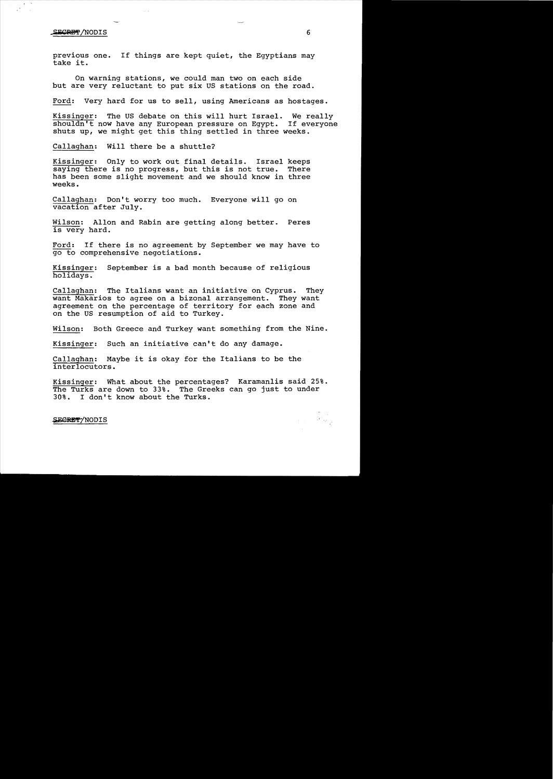#### $\frac{1}{2}$   $\frac{1}{2}$   $\frac{1}{2}$   $\frac{1}{2}$   $\frac{1}{2}$   $\frac{1}{2}$   $\frac{1}{2}$   $\frac{1}{2}$   $\frac{1}{2}$   $\frac{1}{2}$   $\frac{1}{2}$   $\frac{1}{2}$   $\frac{1}{2}$   $\frac{1}{2}$   $\frac{1}{2}$   $\frac{1}{2}$   $\frac{1}{2}$   $\frac{1}{2}$   $\frac{1}{2}$   $\frac{1}{2}$   $\frac{1}{2}$   $\frac{1}{2}$

previous one. If things are kept quiet, the Egyptians may take it.

On warning stations, we could man two on each side but are very reluctant to put six us stations on the road.

Ford: Very hard for us to sell, using Americans as hostages.

Kissinger: The US debate on this will hurt Israel. We really shouldn't now have any European pressure on Egypt. If everyone shuts up, we might get this thing settled in three weeks.

Callaghan: Will there be a shuttle?

Kissinger: Only to work out final details. Israel keeps saying there is no progress, but this is not true. There has been some slight movement and we should know in three weeks.

Callaghan: Don't worry too much. Everyone will go on vacation after July.

Wilson: Allon and Rabin are getting along better. Peres is very hard.

Ford: If there is no agreement by September we may have to go to comprehensive negotiations.

Kissinger: September is a bad month because of religious holidays.

Callaghan: The Italians want an initiative on Cyprus. They want Makarios to agree on a bizonal arrangement. They want agreement on the percentage of territory for each zone and on the US resumption of aid to Turkey.

Wilson: Both Greece and Turkey want something from the Nine.

Kissinger: Such an initiative can't do any damage.

Callaghan: Maybe it is okay for the Italians to be the interlocutors.

Kissinger: What about the percentages? Karamanlis said 25%. The Turks are down to 33%. The Greeks can go just to under 30%. I don't know about the Turks.

## SECRET/NODIS